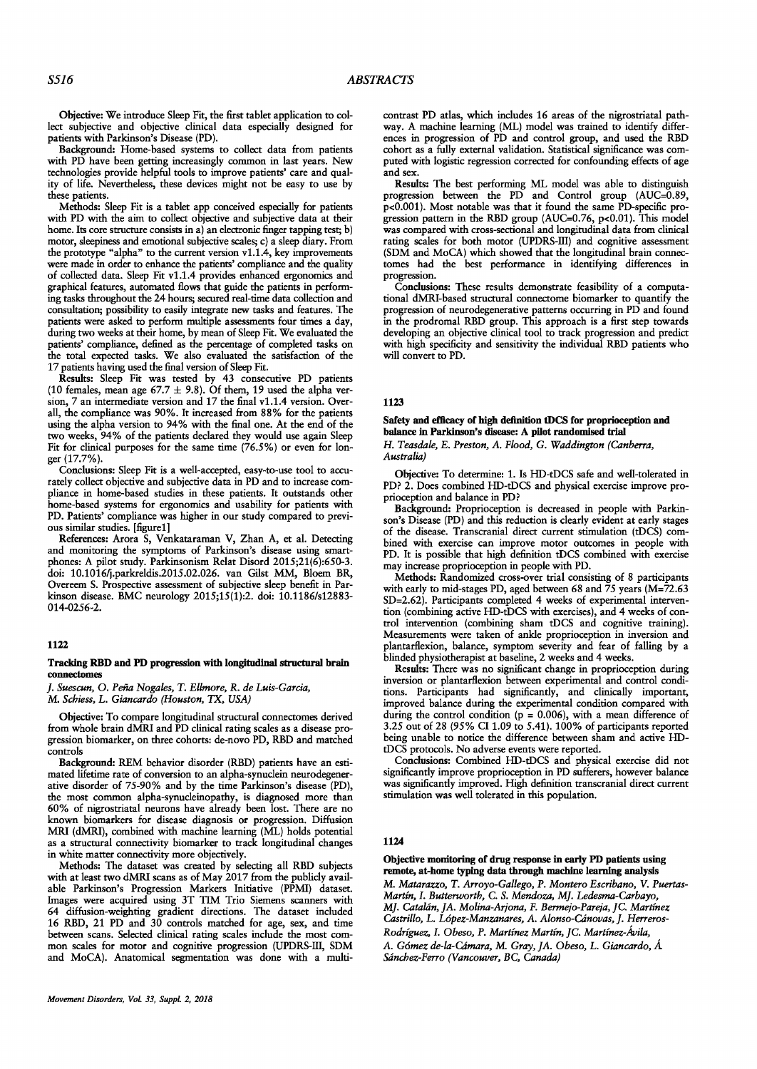Objective: We introduce Sleep Fit, the first tablet application to collect subjective and objective clinical data especially designed for patients with Parkinson's Disease (PD).

Background: Home-based systems to collect data from patients with PD have been getting increasingly common in last years. New technologies provide helpful tools to improve patients' care and quality of life. Nevertheless, these devices might not be easy to use by these patients.

Methods: Sleep Fit is a tablet app conceived especially for patients with PD with the aim to collect objective and subjective data at their home. Its core structure consists in a) an electronic finger tapping test; b) motor, sleepiness and emotional subjective scales; c) a sleep diary. From the prototype "alpha" to the current version v1.1.4, key improvements were made in order to enhance the patients' compliance and the quality of collected data. Sleep Fit v1.1.4 provides enhanced ergonomics and graphical features, automated flows that guide the patients in performing tasks throughout the 24 hours; secured real-time data collection and consultation; possibility to easily integrate new tasks and features. The patients were asked to perform multiple assessments four times a day, during two weeks at their home, by mean of Sleep Fit. We evaluated the patients' compliance, defined as the percentage of completed tasks on the total expected tasks. We also evaluated the satisfaction of the 17 patients having used the final version of Sleep Fit.

Results: Sleep Fit was tested by 43 consecutive PD patients (10 females, mean age  $67.7 \pm 9.8$ ). Of them, 19 used the alpha version, 7 an intermediate version and 17 the final v1.1.4 version. Overall, the compliance was 90%. It increased from 88% for the patients using the alpha version to 94% with the final one. At the end of the two weeks, 94% of the patients declared they would use again Sleep Fit for clinical purposes for the same time (76.5%) or even for longer (17.7%).

Conclusions: Sleep Fit is a well-accepted, easy-to-use tool to accurately collect objective and subjective data in PD and to increase compliance in home-based studies in these patients. It outstands other home-based systems for ergonomics and usability for patients with PD. Patients' compliance was higher in our study compared to previous similar studies. [figure 1]

References: Arora S, Venkataraman V, Zhan A, et al. Detecting and monitoring the symptoms of Parkinson's disease using smartphones: A pilot study. Parkinsonism Relat Disord 2015;21(6):650-3. doi: 10.1016/j.parkreldis.2015.02.026. van Gilst MM, Bloem BR, Overeem S. Prospective assessment of subjective sleep benefit in Parkinson disease. BMC neurology 2015;15(1):2. doi: 10.1186/s12883- 014-0256-2.

### 1122

#### Tracking RBD and PD progression with longitudinal structural brain connectomes

*J. Suescun,* 0. *Pena Nogales, T. Ellmore, R. de Luis-Garcia, M. Schiess,* L. *Giancardo (Houston, TX, USA)* 

Objective: To compare longitudinal structural connectomes derived from whole brain dMRI and PD clinical rating scales as a disease progression biomarker, on three cohorts: de-novo PD, RBD and matched controls

Background: REM behavior disorder (RBD) patients have an estimated lifetime rate of conversion to an alpha-synuclein neurodegenerative disorder of 75-90% and by the time Parkinson's disease (PD), the most common alpha-synucleinopathy, is diagnosed more than 60% of nigrostriatal neurons have already been lost. There are no known biomarkers for disease diagnosis or progression. Diffusion MRI (dMRI), combined with machine learning (ML) holds potential as a structural connectivity biomarker to track longitudinal changes in white matter connectivity more objectively.

Methods: The dataset was created by selecting all RBD subjects with at least two dMRI scans as of May 2017 from the publicly available Parkinson's Progression Markers Initiative (PPMI) dataset. Images were acquired using 3T TIM Trio Siemens scanners with 64 diffusion-weighting gradient directions. The dataset included 16 RBD, 21 PD and 30 controls matched for age, sex, and time between scans. Selected clinical rating scales include the most common scales for motor and cognitive progression (UPDRS-111, SDM and MoCA). Anatomical segmentation was done with a multicontrast PD atlas, which includes 16 areas of the nigrostriatal pathway. A machine learning (ML) model was trained to identify differences in progression of PD and control group, and used the RBD cohort as a fully external validation. Statistical significance was computed with logistic regression corrected for confounding effects of age and sex.

Results: The best performing ML model was able to distinguish progression between the PD and Control group (AUC=0.89, p<0.001). Most notable was that it found the same PD-specific progression pattern in the RBD group (AUC=0.76, p<0.01). This model was compared with cross-sectional and longitudinal data from clinical rating scales for both motor (UPDRS-III) and cognitive assessment (SDM and MoCA) which showed that the longitudinal brain connectomes had the best performance in identifying differences in progression.

Conclusions: These results demonstrate feasibility of a computational dMRI-based structural connectome biomarker to quantify the progression of neurodegenerative patterns occurring in PD and found in the prodromal RBD group. This approach is a first step towards developing an objective clinical tool to track progression and predict with high specificity and sensitivity the individual RBD patients who will convert to PD.

### 1123

# Safety and efficacy of high definition tDCS for proprioception and balance in Parkinson's disease: A pilot randomised trial *H. Teasdale, E. Preston, A. Flood,* G. *Waddington (Canberra,*

*Australia)* 

Objective: To determine: 1. Is HD-tDCS safe and well-tolerated in PD? 2. Does combined HD-tDCS and physical exercise improve proprioception and balance in PD?

Background: Proprioception is decreased in people with Parkinson's Disease (PD) and this reduction is clearly evident at early stages of the disease. Transcranial direct current stimulation (tDCS) combined with exercise can improve motor outcomes in people with PD. It is possible that high definition tDCS combined with exercise may increase proprioception in people with PD.

Methods: Randomized cross-over trial consisting of 8 participants with early to mid-stages PD, aged between 68 and  $\overline{75}$  years (M= $\overline{72.63}$ ) SD=2.62). Participants completed 4 weeks of experimental intervention (combining active HD-tDCS with exercises), and 4 weeks of control intervention (combining sham tDCS and cognitive training). Measurements were taken of ankle proprioception in inversion and plantarflexion, balance, symptom severity and fear of falling by a blinded physiotherapist at baseline, 2 weeks and 4 weeks.

Results: There was no significant change in proprioception during inversion or plantarflexion between experimental and control conditions. Participants had significantly, and clinically important, improved balance during the experimental condition compared with during the control condition ( $p = 0.006$ ), with a mean difference of 3.25 out of 28 (95% CI 1.09 to 5.41). 100% of participants reported being unable to notice the difference between sham and active HDtDCS protocols. No adverse events were reported.

Conclusions: Combined HD-tDCS and physical exercise did not significantly improve proprioception in PD sufferers, however balance was significantly improved. High definition transcranial direct current stimulation was well tolerated in this population.

#### 1124

Objective monitoring of drug response in early PD patients using remote, at-home typing data through machine learning analysis *M. Matarazzo, T. Arroyo-Gallego, P. Montero Escribano, V. Puertas-Martin,* I. *Butterworth,* C. *S. Mendoza, MJ. Ledesma-Carbayo, MJ. Cataldn, JA. Molina-Arjona, F. Bermejo-Pareja, JC. Martinez Castrillo,* L. *Lopez-Manzanares, A. Alonso-Cdnovas, J. Herreros-Rodriguez,* I. *Obeso, P. Martinez Martin, JC. Martinez-Avila, A. Gomez de-la-Camara, M. Gray, JA. Obeso,* L. *Giancardo,* A *Sanchez-Ferro (Vancouver, BC, Canada)*